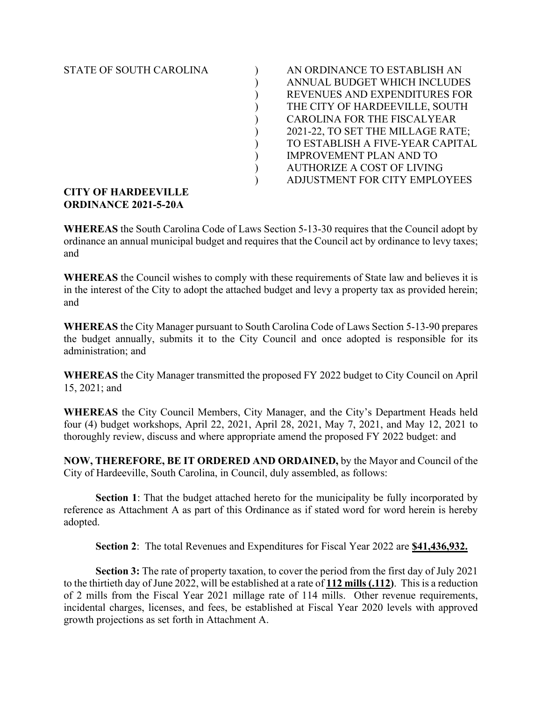STATE OF SOUTH CAROLINA

| AN ORDINANCE TO ESTABLISH AN      |
|-----------------------------------|
| ANNUAL BUDGET WHICH INCLUDES      |
| REVENUES AND EXPENDITURES FOR     |
| THE CITY OF HARDEEVILLE, SOUTH    |
| CAROLINA FOR THE FISCALYEAR       |
| 2021-22, TO SET THE MILLAGE RATE; |
| TO ESTABLISH A FIVE-YEAR CAPITAL  |
| <b>IMPROVEMENT PLAN AND TO</b>    |
| <b>AUTHORIZE A COST OF LIVING</b> |
| ADJUSTMENT FOR CITY EMPLOYEES     |
|                                   |

## **CITY OF HARDEEVILLE ORDINANCE 2021-5-20A**

**WHEREAS** the South Carolina Code of Laws Section 5-13-30 requires that the Council adopt by ordinance an annual municipal budget and requires that the Council act by ordinance to levy taxes; and

**WHEREAS** the Council wishes to comply with these requirements of State law and believes it is in the interest of the City to adopt the attached budget and levy a property tax as provided herein; and

**WHEREAS** the City Manager pursuant to South Carolina Code of Laws Section 5-13-90 prepares the budget annually, submits it to the City Council and once adopted is responsible for its administration; and

**WHEREAS** the City Manager transmitted the proposed FY 2022 budget to City Council on April 15, 2021; and

**WHEREAS** the City Council Members, City Manager, and the City's Department Heads held four (4) budget workshops, April 22, 2021, April 28, 2021, May 7, 2021, and May 12, 2021 to thoroughly review, discuss and where appropriate amend the proposed FY 2022 budget: and

**NOW, THEREFORE, BE IT ORDERED AND ORDAINED,** by the Mayor and Council of the City of Hardeeville, South Carolina, in Council, duly assembled, as follows:

**Section 1**: That the budget attached hereto for the municipality be fully incorporated by reference as Attachment A as part of this Ordinance as if stated word for word herein is hereby adopted.

**Section 2**: The total Revenues and Expenditures for Fiscal Year 2022 are **\$41,436,932.**

**Section 3:** The rate of property taxation, to cover the period from the first day of July 2021 to the thirtieth day of June 2022, will be established at a rate of **112 mills (.112)**. This is a reduction of 2 mills from the Fiscal Year 2021 millage rate of 114 mills. Other revenue requirements, incidental charges, licenses, and fees, be established at Fiscal Year 2020 levels with approved growth projections as set forth in Attachment A.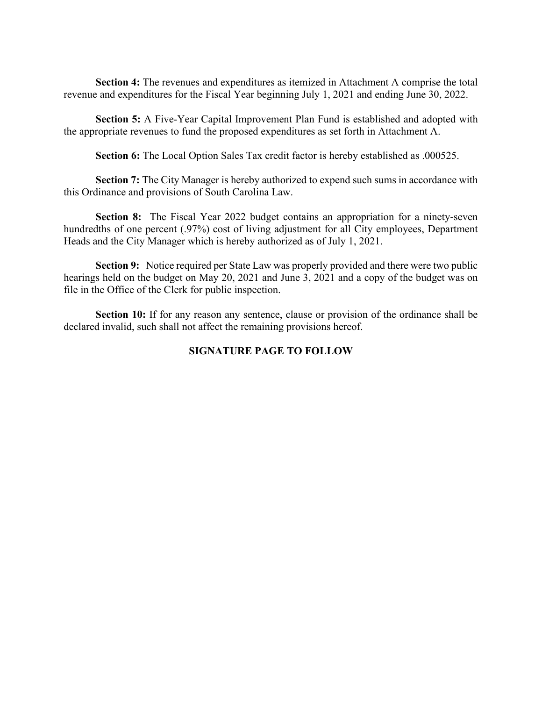**Section 4:** The revenues and expenditures as itemized in Attachment A comprise the total revenue and expenditures for the Fiscal Year beginning July 1, 2021 and ending June 30, 2022.

**Section 5:** A Five-Year Capital Improvement Plan Fund is established and adopted with the appropriate revenues to fund the proposed expenditures as set forth in Attachment A.

**Section 6:** The Local Option Sales Tax credit factor is hereby established as .000525.

**Section 7:** The City Manager is hereby authorized to expend such sums in accordance with this Ordinance and provisions of South Carolina Law.

**Section 8:** The Fiscal Year 2022 budget contains an appropriation for a ninety-seven hundredths of one percent (.97%) cost of living adjustment for all City employees, Department Heads and the City Manager which is hereby authorized as of July 1, 2021.

**Section 9:** Notice required per State Law was properly provided and there were two public hearings held on the budget on May 20, 2021 and June 3, 2021 and a copy of the budget was on file in the Office of the Clerk for public inspection.

**Section 10:** If for any reason any sentence, clause or provision of the ordinance shall be declared invalid, such shall not affect the remaining provisions hereof.

## **SIGNATURE PAGE TO FOLLOW**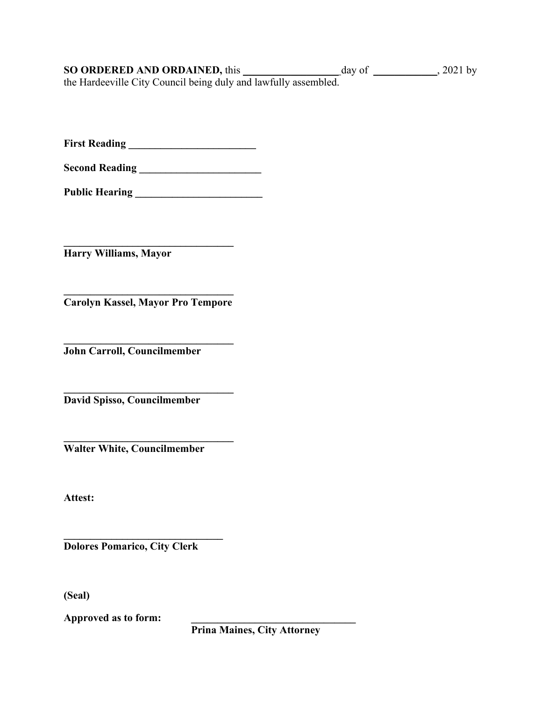| <b>SO ORDERED AND ORDAINED, this</b>                            | day of | $, 2021$ by |
|-----------------------------------------------------------------|--------|-------------|
| the Hardeeville City Council being duly and lawfully assembled. |        |             |

**First Reading \_\_\_\_\_\_\_\_\_\_\_\_\_\_\_\_\_\_\_\_\_\_\_\_**

**Second Reading \_\_\_\_\_\_\_\_\_\_\_\_\_\_\_\_\_\_\_\_\_\_\_**

**Public Hearing \_\_\_\_\_\_\_\_\_\_\_\_\_\_\_\_\_\_\_\_\_\_\_\_**

**\_\_\_\_\_\_\_\_\_\_\_\_\_\_\_\_\_\_\_\_\_\_\_\_\_\_\_\_\_\_\_\_ Harry Williams, Mayor**

**\_\_\_\_\_\_\_\_\_\_\_\_\_\_\_\_\_\_\_\_\_\_\_\_\_\_\_\_\_\_\_\_ Carolyn Kassel, Mayor Pro Tempore**

**\_\_\_\_\_\_\_\_\_\_\_\_\_\_\_\_\_\_\_\_\_\_\_\_\_\_\_\_\_\_\_\_ John Carroll, Councilmember**

**\_\_\_\_\_\_\_\_\_\_\_\_\_\_\_\_\_\_\_\_\_\_\_\_\_\_\_\_\_\_\_\_ David Spisso, Councilmember**

**\_\_\_\_\_\_\_\_\_\_\_\_\_\_\_\_\_\_\_\_\_\_\_\_\_\_\_\_\_\_\_\_ Walter White, Councilmember**

**Attest:**

**\_\_\_\_\_\_\_\_\_\_\_\_\_\_\_\_\_\_\_\_\_\_\_\_\_\_\_\_\_\_ Dolores Pomarico, City Clerk**

**(Seal)**

**Approved as to form: \_\_\_\_\_\_\_\_\_\_\_\_\_\_\_\_\_\_\_\_\_\_\_\_\_\_\_\_\_\_\_**

**Prina Maines, City Attorney**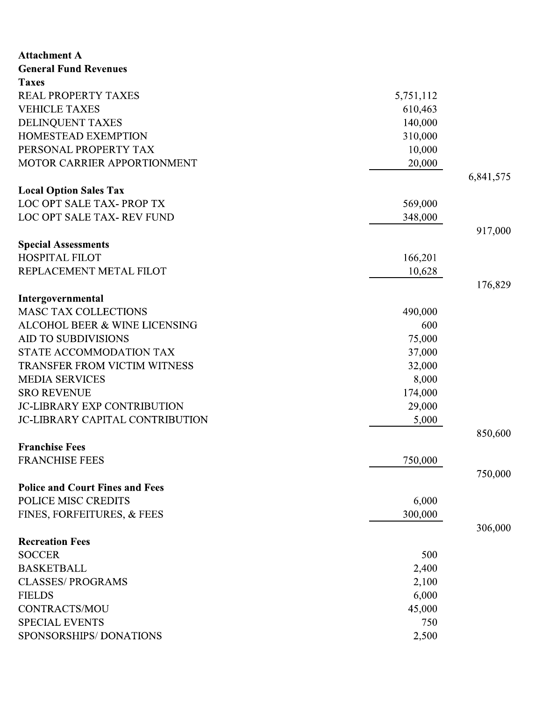| <b>Attachment A</b>                                       |           |           |
|-----------------------------------------------------------|-----------|-----------|
| <b>General Fund Revenues</b>                              |           |           |
| <b>Taxes</b><br><b>REAL PROPERTY TAXES</b>                |           |           |
|                                                           | 5,751,112 |           |
| <b>VEHICLE TAXES</b>                                      | 610,463   |           |
| DELINQUENT TAXES                                          | 140,000   |           |
| HOMESTEAD EXEMPTION<br>PERSONAL PROPERTY TAX              | 310,000   |           |
| MOTOR CARRIER APPORTIONMENT                               | 10,000    |           |
|                                                           | 20,000    |           |
|                                                           |           | 6,841,575 |
| <b>Local Option Sales Tax</b><br>LOC OPT SALE TAX-PROP TX |           |           |
| LOC OPT SALE TAX- REV FUND                                | 569,000   |           |
|                                                           | 348,000   | 917,000   |
| <b>Special Assessments</b>                                |           |           |
| <b>HOSPITAL FILOT</b>                                     | 166,201   |           |
| REPLACEMENT METAL FILOT                                   | 10,628    |           |
|                                                           |           | 176,829   |
| Intergovernmental                                         |           |           |
| <b>MASC TAX COLLECTIONS</b>                               | 490,000   |           |
| ALCOHOL BEER & WINE LICENSING                             | 600       |           |
| <b>AID TO SUBDIVISIONS</b>                                | 75,000    |           |
| STATE ACCOMMODATION TAX                                   | 37,000    |           |
| TRANSFER FROM VICTIM WITNESS                              | 32,000    |           |
| <b>MEDIA SERVICES</b>                                     | 8,000     |           |
| <b>SRO REVENUE</b>                                        | 174,000   |           |
| <b>JC-LIBRARY EXP CONTRIBUTION</b>                        | 29,000    |           |
| <b>JC-LIBRARY CAPITAL CONTRIBUTION</b>                    | 5,000     |           |
|                                                           |           | 850,600   |
| <b>Franchise Fees</b>                                     |           |           |
| <b>FRANCHISE FEES</b>                                     | 750,000   |           |
|                                                           |           | 750,000   |
| <b>Police and Court Fines and Fees</b>                    |           |           |
| POLICE MISC CREDITS                                       | 6,000     |           |
| FINES, FORFEITURES, & FEES                                | 300,000   |           |
|                                                           |           | 306,000   |
| <b>Recreation Fees</b>                                    |           |           |
| <b>SOCCER</b>                                             | 500       |           |
| <b>BASKETBALL</b>                                         | 2,400     |           |
| <b>CLASSES/PROGRAMS</b>                                   | 2,100     |           |
| <b>FIELDS</b>                                             | 6,000     |           |
| <b>CONTRACTS/MOU</b>                                      | 45,000    |           |
| <b>SPECIAL EVENTS</b>                                     | 750       |           |
| SPONSORSHIPS/DONATIONS                                    | 2,500     |           |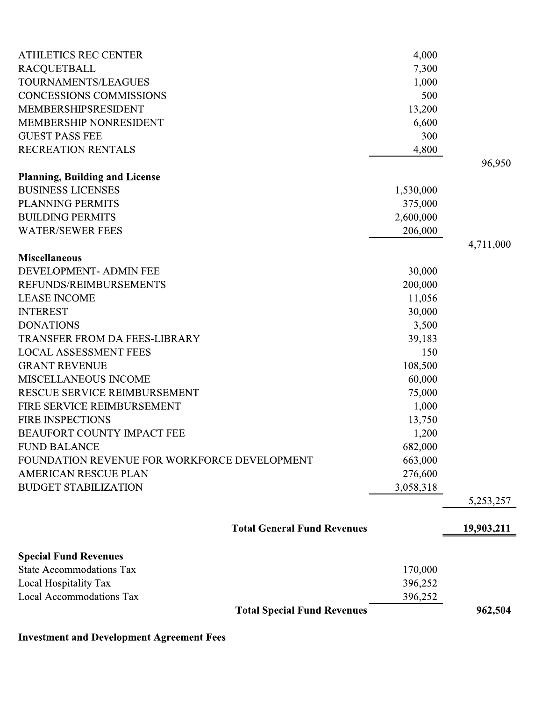| <b>ATHLETICS REC CENTER</b>                  | 4,000     |            |
|----------------------------------------------|-----------|------------|
| <b>RACQUETBALL</b>                           | 7,300     |            |
| TOURNAMENTS/LEAGUES                          | 1,000     |            |
| <b>CONCESSIONS COMMISSIONS</b>               | 500       |            |
| MEMBERSHIPSRESIDENT                          | 13,200    |            |
| <b>MEMBERSHIP NONRESIDENT</b>                | 6,600     |            |
| <b>GUEST PASS FEE</b>                        | 300       |            |
| RECREATION RENTALS                           | 4,800     |            |
| <b>Planning, Building and License</b>        |           | 96,950     |
| <b>BUSINESS LICENSES</b>                     | 1,530,000 |            |
| <b>PLANNING PERMITS</b>                      | 375,000   |            |
| <b>BUILDING PERMITS</b>                      | 2,600,000 |            |
| <b>WATER/SEWER FEES</b>                      | 206,000   |            |
|                                              |           | 4,711,000  |
| <b>Miscellaneous</b>                         |           |            |
| DEVELOPMENT- ADMIN FEE                       | 30,000    |            |
| REFUNDS/REIMBURSEMENTS                       | 200,000   |            |
| <b>LEASE INCOME</b>                          | 11,056    |            |
| <b>INTEREST</b>                              | 30,000    |            |
| <b>DONATIONS</b>                             | 3,500     |            |
| <b>TRANSFER FROM DA FEES-LIBRARY</b>         | 39,183    |            |
| <b>LOCAL ASSESSMENT FEES</b>                 | 150       |            |
| <b>GRANT REVENUE</b>                         | 108,500   |            |
| MISCELLANEOUS INCOME                         | 60,000    |            |
| RESCUE SERVICE REIMBURSEMENT                 | 75,000    |            |
| FIRE SERVICE REIMBURSEMENT                   | 1,000     |            |
| <b>FIRE INSPECTIONS</b>                      | 13,750    |            |
| <b>BEAUFORT COUNTY IMPACT FEE</b>            | 1,200     |            |
| <b>FUND BALANCE</b>                          | 682,000   |            |
| FOUNDATION REVENUE FOR WORKFORCE DEVELOPMENT | 663,000   |            |
| <b>AMERICAN RESCUE PLAN</b>                  | 276,600   |            |
| <b>BUDGET STABILIZATION</b>                  | 3,058,318 |            |
|                                              |           | 5,253,257  |
| <b>Total General Fund Revenues</b>           |           | 19,903,211 |
| <b>Special Fund Revenues</b>                 |           |            |
| <b>State Accommodations Tax</b>              | 170,000   |            |
| Local Hospitality Tax                        | 396,252   |            |
| <b>Local Accommodations Tax</b>              | 396,252   |            |
| <b>Total Special Fund Revenues</b>           |           | 962,504    |
|                                              |           |            |

**Investment and Development Agreement Fees**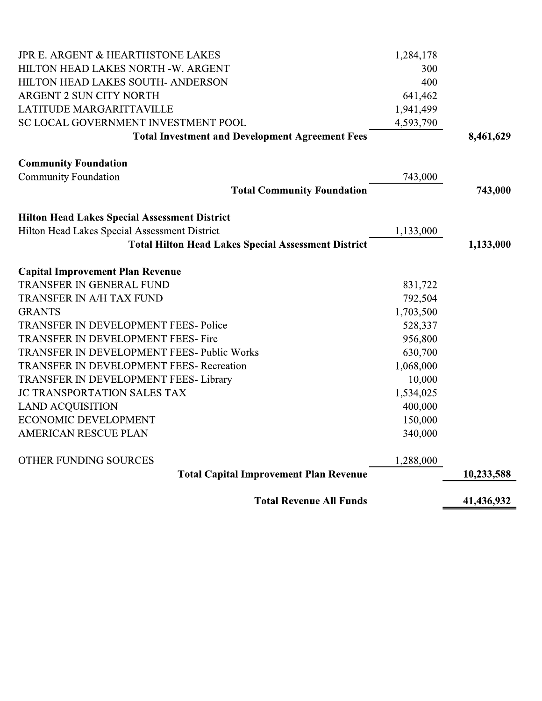| JPR E. ARGENT & HEARTHSTONE LAKES                          | 1,284,178 |            |
|------------------------------------------------------------|-----------|------------|
| HILTON HEAD LAKES NORTH -W. ARGENT                         | 300       |            |
| HILTON HEAD LAKES SOUTH- ANDERSON                          | 400       |            |
| ARGENT 2 SUN CITY NORTH                                    | 641,462   |            |
| LATITUDE MARGARITTAVILLE                                   | 1,941,499 |            |
| SC LOCAL GOVERNMENT INVESTMENT POOL                        | 4,593,790 |            |
| <b>Total Investment and Development Agreement Fees</b>     |           | 8,461,629  |
| <b>Community Foundation</b>                                |           |            |
| <b>Community Foundation</b>                                | 743,000   |            |
| <b>Total Community Foundation</b>                          |           | 743,000    |
| <b>Hilton Head Lakes Special Assessment District</b>       |           |            |
| Hilton Head Lakes Special Assessment District              | 1,133,000 |            |
| <b>Total Hilton Head Lakes Special Assessment District</b> |           | 1,133,000  |
| <b>Capital Improvement Plan Revenue</b>                    |           |            |
| TRANSFER IN GENERAL FUND                                   | 831,722   |            |
| <b>TRANSFER IN A/H TAX FUND</b>                            | 792,504   |            |
| <b>GRANTS</b>                                              | 1,703,500 |            |
| TRANSFER IN DEVELOPMENT FEES-Police                        | 528,337   |            |
| TRANSFER IN DEVELOPMENT FEES- Fire                         | 956,800   |            |
| TRANSFER IN DEVELOPMENT FEES- Public Works                 | 630,700   |            |
| <b>TRANSFER IN DEVELOPMENT FEES- Recreation</b>            | 1,068,000 |            |
| TRANSFER IN DEVELOPMENT FEES-Library                       | 10,000    |            |
| JC TRANSPORTATION SALES TAX                                | 1,534,025 |            |
| <b>LAND ACQUISITION</b>                                    | 400,000   |            |
| ECONOMIC DEVELOPMENT                                       | 150,000   |            |
| <b>AMERICAN RESCUE PLAN</b>                                | 340,000   |            |
| OTHER FUNDING SOURCES                                      | 1,288,000 |            |
| <b>Total Capital Improvement Plan Revenue</b>              |           | 10,233,588 |
| <b>Total Revenue All Funds</b>                             |           | 41,436,932 |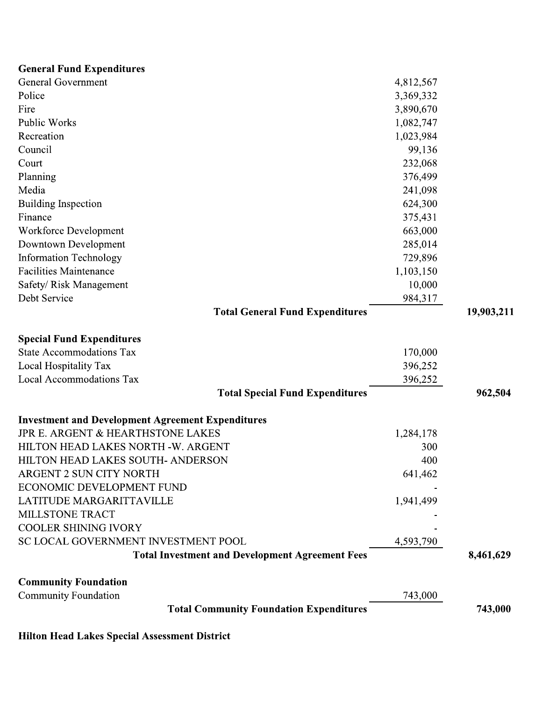| <b>General Fund Expenditures</b>                         |           |            |
|----------------------------------------------------------|-----------|------------|
| <b>General Government</b>                                | 4,812,567 |            |
| Police                                                   | 3,369,332 |            |
| Fire                                                     | 3,890,670 |            |
| <b>Public Works</b>                                      | 1,082,747 |            |
| Recreation                                               | 1,023,984 |            |
| Council                                                  | 99,136    |            |
| Court                                                    | 232,068   |            |
| Planning                                                 | 376,499   |            |
| Media                                                    | 241,098   |            |
| <b>Building Inspection</b>                               | 624,300   |            |
| Finance                                                  | 375,431   |            |
| Workforce Development                                    | 663,000   |            |
| Downtown Development                                     | 285,014   |            |
| <b>Information Technology</b>                            | 729,896   |            |
| <b>Facilities Maintenance</b>                            | 1,103,150 |            |
| Safety/ Risk Management                                  | 10,000    |            |
| Debt Service                                             | 984,317   |            |
| <b>Total General Fund Expenditures</b>                   |           | 19,903,211 |
| <b>Special Fund Expenditures</b>                         |           |            |
| <b>State Accommodations Tax</b>                          | 170,000   |            |
| Local Hospitality Tax                                    | 396,252   |            |
| Local Accommodations Tax                                 | 396,252   |            |
| <b>Total Special Fund Expenditures</b>                   |           | 962,504    |
| <b>Investment and Development Agreement Expenditures</b> |           |            |
| JPR E. ARGENT & HEARTHSTONE LAKES                        | 1,284,178 |            |
| HILTON HEAD LAKES NORTH -W. ARGENT                       | 300       |            |
| HILTON HEAD LAKES SOUTH- ANDERSON                        | 400       |            |
| <b>ARGENT 2 SUN CITY NORTH</b>                           | 641,462   |            |
| ECONOMIC DEVELOPMENT FUND                                |           |            |
| LATITUDE MARGARITTAVILLE                                 | 1,941,499 |            |
| MILLSTONE TRACT                                          |           |            |
| <b>COOLER SHINING IVORY</b>                              |           |            |
| SC LOCAL GOVERNMENT INVESTMENT POOL                      | 4,593,790 |            |
| <b>Total Investment and Development Agreement Fees</b>   |           | 8,461,629  |
| <b>Community Foundation</b>                              |           |            |
| <b>Community Foundation</b>                              | 743,000   |            |
| <b>Total Community Foundation Expenditures</b>           |           | 743,000    |
|                                                          |           |            |

Hilton Head Lakes Special Assessment District